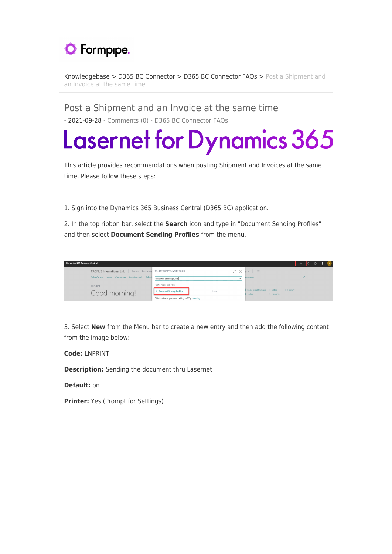

[Knowledgebase](https://support.formpipe.com/kb) > [D365 BC Connector](https://support.formpipe.com/kb/d365-bc-connector) > [D365 BC Connector FAQs](https://support.formpipe.com/kb/d365-bc-connector-faqs) > [Post a Shipment and](https://support.formpipe.com/kb/articles/post-a-shipment-and-an-invoice-at-the-same-time) [an Invoice at the same time](https://support.formpipe.com/kb/articles/post-a-shipment-and-an-invoice-at-the-same-time)

Post a Shipment and an Invoice at the same time - 2021-09-28 - [Comments \(0\)](#page--1-0) - [D365 BC Connector FAQs](https://support.formpipe.com/kb/d365-bc-connector-faqs)

## **Lasernet for Dynamics 365**

This article provides recommendations when posting Shipment and Invoices at the same time. Please follow these steps:

1. Sign into the Dynamics 365 Business Central (D365 BC) application.

2. In the top ribbon bar, select the **Search** icon and type in "Document Sending Profiles" and then select **Document Sending Profiles** from the menu.



3. Select **New** from the Menu bar to create a new entry and then add the following content from the image below:

**Code:** LNPRINT

**Description:** Sending the document thru Lasernet

**Default:** on

**Printer:** Yes (Prompt for Settings)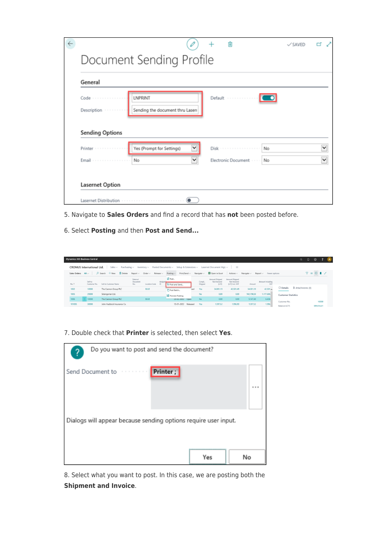| General                            |                                                               |                                         |  |
|------------------------------------|---------------------------------------------------------------|-----------------------------------------|--|
| $Code \cdots \cdots \cdots \cdots$ | <b>LNPRINT</b>                                                | Default                                 |  |
| Description                        | Sending the document thru Lasen                               |                                         |  |
| <b>Sending Options</b>             |                                                               |                                         |  |
|                                    |                                                               |                                         |  |
| Printer<br>.<br>Email              | $\checkmark$<br>Yes (Prompt for Settings)<br>$\check{}$<br>No | Disk<br>No<br>Electronic Document<br>No |  |

- 5. Navigate to **Sales Orders** and find a record that has **not** been posted before.
- 6. Select **Posting** and then **Post and Send...**

|                     | <b>Dynamics 365 Business Central</b> |                                                                                                                                          |                             |                                           |              |                                  |                     |     |                  |                                                           |                                                   |                                            |                             |                                                                | $\alpha$ .      | $\Omega$                                       | ◎          |       |  |
|---------------------|--------------------------------------|------------------------------------------------------------------------------------------------------------------------------------------|-----------------------------|-------------------------------------------|--------------|----------------------------------|---------------------|-----|------------------|-----------------------------------------------------------|---------------------------------------------------|--------------------------------------------|-----------------------------|----------------------------------------------------------------|-----------------|------------------------------------------------|------------|-------|--|
|                     | <b>CRONUS International Ltd.</b>     | Sales $\vee$ Purchasing $\vee$ Inventory $\vee$ Posted Documents $\vee$ Setup & Extensions $\vee$ Lasernet Document Mgt. $\vee$ $\equiv$ |                             |                                           |              |                                  |                     |     |                  |                                                           |                                                   |                                            |                             |                                                                |                 |                                                |            |       |  |
| Sales Orders: All v |                                      | $O$ Search $+$ New<br><b>R</b> Delete                                                                                                    |                             | $Report \vee$ Order $\vee$ Release $\vee$ |              | Posting $\vee$                   |                     |     |                  | Print/Send $\vee$ Navigate $\vee$ <b>Di</b> Open in Excel |                                                   | $\text{Actions} \vee \text{Naviaste} \vee$ | $Report \vee$ Fewer options |                                                                |                 | $\nabla \equiv 0 \quad \blacksquare \quad x^c$ |            |       |  |
| No. 1               | Sell-to<br>Customer No.              | Sell-to Customer Name                                                                                                                    | External<br>Document<br>No. | Location Code                             | Assign<br>ID | Post.<br><b>15</b> Post and Send |                     |     | Compl<br>Shipped | Amount Shipped<br>Not Invoiced<br>(LCY)                   | Amount Shipped<br>Not Invoiced<br>(LCY) Incl. VAT | Amount                                     | Amount Including<br>VAT     |                                                                |                 |                                                |            |       |  |
| 1002                | 10000                                | The Cannon Group PLC                                                                                                                     |                             | <b>BLUE</b>                               |              | T1 Post Batch                    |                     | bez | Yes              | 34,001.19                                                 | 42,501.49                                         | 34.001,19                                  | $42.501 \wedge$             | <b>O</b> Details<br><b>Contract Contract Contract Contract</b> | Attachments (0) |                                                |            |       |  |
| 1005                | 20000                                | Selangorian Ltd.                                                                                                                         |                             |                                           |              | <b>Q</b> Preview Posting         |                     |     | No               | 0.00                                                      | 0.00                                              | 942.198.50                                 | 1.177.606                   | <b>Customer Statistics</b>                                     |                 |                                                |            |       |  |
| 1006                | $\frac{1}{2}$ 10000                  | The Cannon Group PLC                                                                                                                     |                             | <b>BLUE</b>                               |              |                                  | 23-02-2022 Open     |     | No               | 0.00                                                      | 0.00                                              | 5,147,40                                   | 6,434                       | Customer No.                                                   |                 |                                                |            | 10000 |  |
| 101005              | 30000                                | John Haddock Insurance Co.                                                                                                               |                             |                                           |              |                                  | 13-01-2022 Released |     | Yes              | 1.597,52                                                  | 1.996,90                                          | 1.597,52                                   | 1.996                       | Balance (LCY)                                                  |                 |                                                | 589.614.41 |       |  |

7. Double check that **Printer** is selected, then select **Yes**.

| Do you want to post and send the document?                      |     |    |
|-----------------------------------------------------------------|-----|----|
| Printer;<br>Send Document to research                           |     |    |
| Dialogs will appear because sending options require user input. |     |    |
|                                                                 | Yes | No |

8. Select what you want to post. In this case, we are posting both the **Shipment and Invoice**.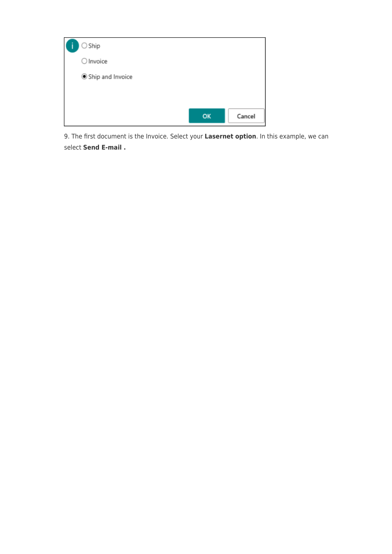

9. The first document is the Invoice. Select your **Lasernet option**. In this example, we can select **Send E-mail .**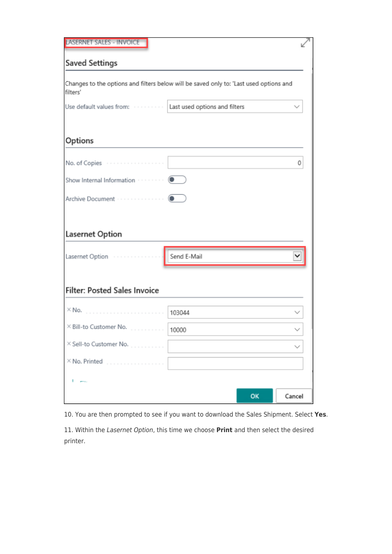| <b>LASERNET SALES - INVOICE</b>         |                                                                                        |        |
|-----------------------------------------|----------------------------------------------------------------------------------------|--------|
| <b>Saved Settings</b>                   |                                                                                        |        |
| filters'                                | Changes to the options and filters below will be saved only to: 'Last used options and |        |
| Use default values from:                | Last used options and filters                                                          |        |
| Options                                 |                                                                                        |        |
| .<br>No. of Copies                      |                                                                                        | 0      |
| Show Internal Information · · · · · · · |                                                                                        |        |
| Archive Document                        |                                                                                        |        |
| <b>Lasernet Option</b>                  |                                                                                        |        |
| Lasernet Option                         | Send E-Mail                                                                            |        |
| <b>Filter: Posted Sales Invoice</b>     |                                                                                        |        |
| $\times$ No.                            | 103044                                                                                 |        |
| × Bill-to Customer No.<br>.             | 10000                                                                                  |        |
| X Sell-to Customer No.                  |                                                                                        |        |
| $\times$ No. Printed                    |                                                                                        |        |
| .                                       |                                                                                        |        |
|                                         | OK                                                                                     | Cancel |

10. You are then prompted to see if you want to download the Sales Shipment. Select **Yes**.

11. Within the Lasernet Option, this time we choose **Print** and then select the desired printer.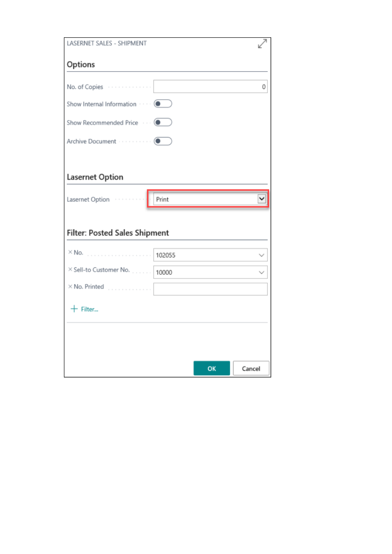| LASERNET SALES - SHIPMENT            |        |   |
|--------------------------------------|--------|---|
| Options                              |        |   |
|                                      |        |   |
| No. of Copies                        |        | 0 |
| Show Internal Information  (         |        |   |
| Show Recommended Price  (            |        |   |
|                                      |        |   |
|                                      |        |   |
| Lasernet Option                      |        |   |
| Lasernet Option                      | Print  |   |
|                                      |        |   |
| <b>Filter: Posted Sales Shipment</b> |        |   |
|                                      |        |   |
| $\times$ No.<br>.                    | 102055 |   |
| X Sell-to Customer No.               | 10000  |   |
| $\times$ No. Printed $\ldots$        |        |   |
| $+$ Filter                           |        |   |
|                                      |        |   |
|                                      |        |   |
|                                      |        |   |
|                                      |        |   |
|                                      |        |   |